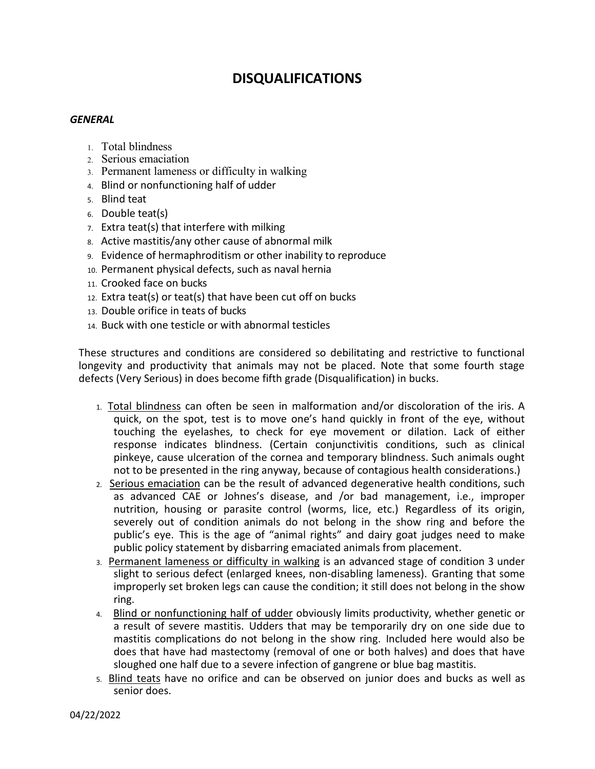## **DISQUALIFICATIONS**

## *GENERAL*

- 1. Total blindness
- 2. Serious emaciation
- 3. Permanent lameness or difficulty in walking
- 4. Blind or nonfunctioning half of udder
- 5. Blind teat
- 6. Double teat(s)
- 7. Extra teat(s) that interfere with milking
- 8. Active mastitis/any other cause of abnormal milk
- 9. Evidence of hermaphroditism or other inability to reproduce
- 10. Permanent physical defects, such as naval hernia
- 11. Crooked face on bucks
- 12. Extra teat(s) or teat(s) that have been cut off on bucks
- 13. Double orifice in teats of bucks
- 14. Buck with one testicle or with abnormal testicles

These structures and conditions are considered so debilitating and restrictive to functional longevity and productivity that animals may not be placed. Note that some fourth stage defects (Very Serious) in does become fifth grade (Disqualification) in bucks.

- 1. Total blindness can often be seen in malformation and/or discoloration of the iris. A quick, on the spot, test is to move one's hand quickly in front of the eye, without touching the eyelashes, to check for eye movement or dilation. Lack of either response indicates blindness. (Certain conjunctivitis conditions, such as clinical pinkeye, cause ulceration of the cornea and temporary blindness. Such animals ought not to be presented in the ring anyway, because of contagious health considerations.)
- 2. Serious emaciation can be the result of advanced degenerative health conditions, such as advanced CAE or Johnes's disease, and /or bad management, i.e., improper nutrition, housing or parasite control (worms, lice, etc.) Regardless of its origin, severely out of condition animals do not belong in the show ring and before the public's eye. This is the age of "animal rights" and dairy goat judges need to make public policy statement by disbarring emaciated animals from placement.
- 3. Permanent lameness or difficulty in walking is an advanced stage of condition 3 under slight to serious defect (enlarged knees, non-disabling lameness). Granting that some improperly set broken legs can cause the condition; it still does not belong in the show ring.
- 4. Blind or nonfunctioning half of udder obviously limits productivity, whether genetic or a result of severe mastitis. Udders that may be temporarily dry on one side due to mastitis complications do not belong in the show ring. Included here would also be does that have had mastectomy (removal of one or both halves) and does that have sloughed one half due to a severe infection of gangrene or blue bag mastitis.
- 5. Blind teats have no orifice and can be observed on junior does and bucks as well as senior does.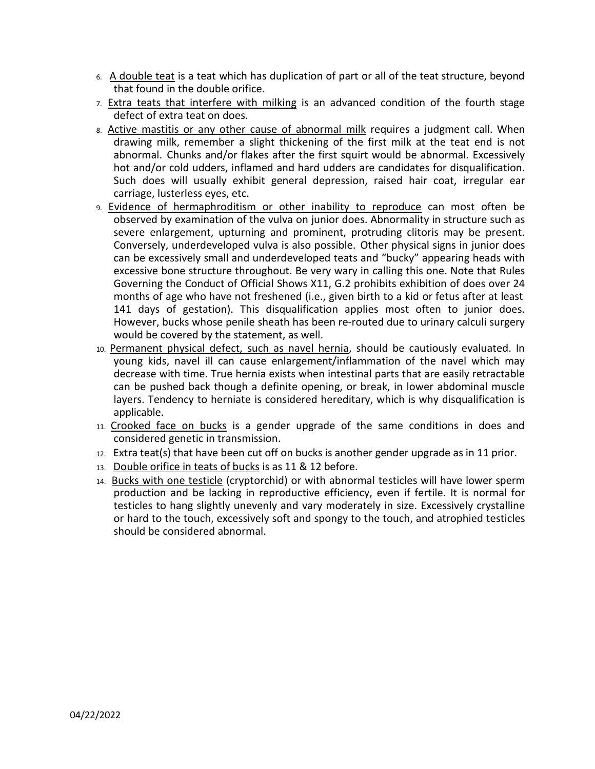- 6. A double teat is a teat which has duplication of part or all of the teat structure, beyond that found in the double orifice.
- 7. Extra teats that interfere with milking is an advanced condition of the fourth stage defect of extra teat on does.
- 8. Active mastitis or any other cause of abnormal milk requires a judgment call. When drawing milk, remember a slight thickening of the first milk at the teat end is not abnormal. Chunks and/or flakes after the first squirt would be abnormal. Excessively hot and/or cold udders, inflamed and hard udders are candidates for disqualification. Such does will usually exhibit general depression, raised hair coat, irregular ear carriage, lusterless eyes, etc.
- 9. Evidence of hermaphroditism or other inability to reproduce can most often be observed by examination of the vulva on junior does. Abnormality in structure such as severe enlargement, upturning and prominent, protruding clitoris may be present. Conversely, underdeveloped vulva is also possible. Other physical signs in junior does can be excessively small and underdeveloped teats and "bucky" appearing heads with excessive bone structure throughout. Be very wary in calling this one. Note that Rules Governing the Conduct of Official Shows X11, G.2 prohibits exhibition of does over 24 months of age who have not freshened (i.e., given birth to a kid or fetus after at least 141 days of gestation). This disqualification applies most often to junior does. However, bucks whose penile sheath has been re-routed due to urinary calculi surgery would be covered by the statement, as well.
- 10. Permanent physical defect, such as navel hernia, should be cautiously evaluated. In young kids, navel ill can cause enlargement/inflammation of the navel which may decrease with time. True hernia exists when intestinal parts that are easily retractable can be pushed back though a definite opening, or break, in lower abdominal muscle layers. Tendency to herniate is considered hereditary, which is why disqualification is applicable.
- 11. Crooked face on bucks is a gender upgrade of the same conditions in does and considered genetic in transmission.
- 12. Extra teat(s) that have been cut off on bucks is another gender upgrade as in 11 prior.
- 13. Double orifice in teats of bucks is as 11 & 12 before.
- 14. Bucks with one testicle (cryptorchid) or with abnormal testicles will have lower sperm production and be lacking in reproductive efficiency, even if fertile. It is normal for testicles to hang slightly unevenly and vary moderately in size. Excessively crystalline or hard to the touch, excessively soft and spongy to the touch, and atrophied testicles should be considered abnormal.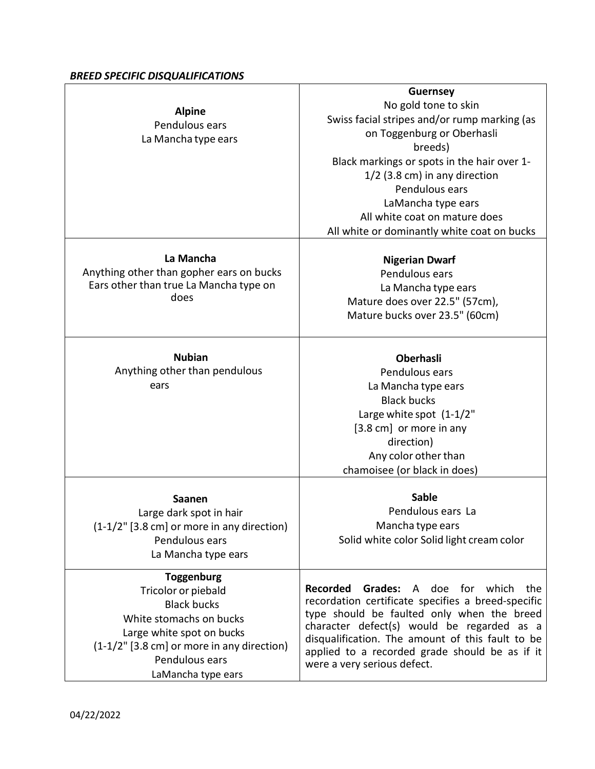## *BREED SPECIFIC DISQUALIFICATIONS*

| <b>Alpine</b><br>Pendulous ears<br>La Mancha type ears                                                                                                                                                       | <b>Guernsey</b><br>No gold tone to skin<br>Swiss facial stripes and/or rump marking (as<br>on Toggenburg or Oberhasli<br>breeds)<br>Black markings or spots in the hair over 1-<br>$1/2$ (3.8 cm) in any direction<br>Pendulous ears<br>LaMancha type ears<br>All white coat on mature does<br>All white or dominantly white coat on bucks      |
|--------------------------------------------------------------------------------------------------------------------------------------------------------------------------------------------------------------|-------------------------------------------------------------------------------------------------------------------------------------------------------------------------------------------------------------------------------------------------------------------------------------------------------------------------------------------------|
| La Mancha<br>Anything other than gopher ears on bucks<br>Ears other than true La Mancha type on<br>does                                                                                                      | <b>Nigerian Dwarf</b><br>Pendulous ears<br>La Mancha type ears<br>Mature does over 22.5" (57cm),<br>Mature bucks over 23.5" (60cm)                                                                                                                                                                                                              |
| <b>Nubian</b><br>Anything other than pendulous<br>ears                                                                                                                                                       | <b>Oberhasli</b><br>Pendulous ears<br>La Mancha type ears<br><b>Black bucks</b><br>Large white spot (1-1/2"<br>[3.8 cm] or more in any<br>direction)<br>Any color other than<br>chamoisee (or black in does)                                                                                                                                    |
| <b>Saanen</b><br>Large dark spot in hair<br>(1-1/2" [3.8 cm] or more in any direction)<br>Pendulous ears<br>La Mancha type ears                                                                              | <b>Sable</b><br>Pendulous ears La<br>Mancha type ears<br>Solid white color Solid light cream color                                                                                                                                                                                                                                              |
| <b>Toggenburg</b><br>Tricolor or piebald<br><b>Black bucks</b><br>White stomachs on bucks<br>Large white spot on bucks<br>(1-1/2" [3.8 cm] or more in any direction)<br>Pendulous ears<br>LaMancha type ears | <b>Recorded</b><br><b>Grades:</b> A doe for which<br>the<br>recordation certificate specifies a breed-specific<br>type should be faulted only when the breed<br>character defect(s) would be regarded as a<br>disqualification. The amount of this fault to be<br>applied to a recorded grade should be as if it<br>were a very serious defect. |